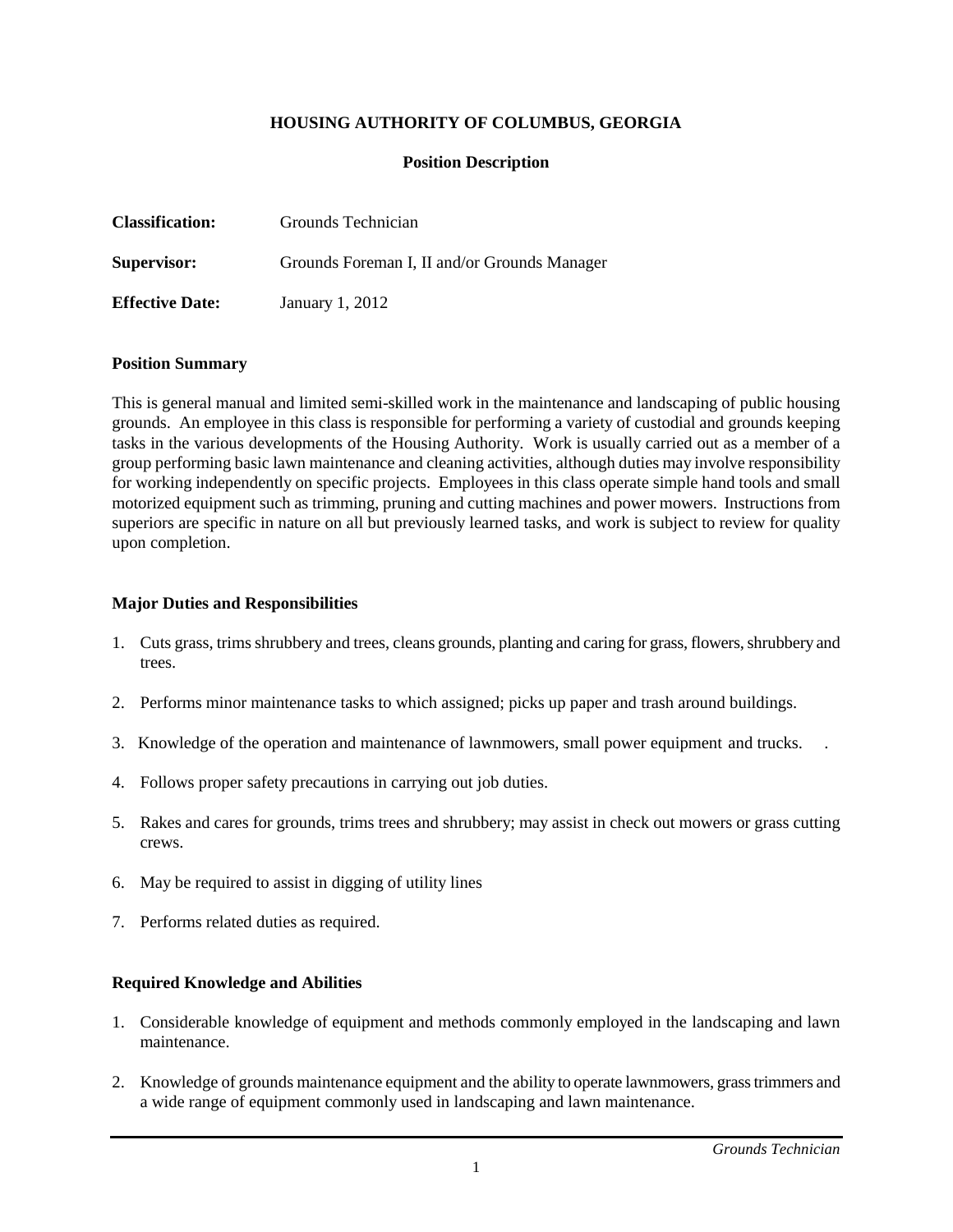## **HOUSING AUTHORITY OF COLUMBUS, GEORGIA**

### **Position Description**

| <b>Classification:</b> | Grounds Technician                           |
|------------------------|----------------------------------------------|
| <b>Supervisor:</b>     | Grounds Foreman I, II and/or Grounds Manager |
| <b>Effective Date:</b> | January 1, 2012                              |

#### **Position Summary**

This is general manual and limited semi-skilled work in the maintenance and landscaping of public housing grounds. An employee in this class is responsible for performing a variety of custodial and grounds keeping tasks in the various developments of the Housing Authority. Work is usually carried out as a member of a group performing basic lawn maintenance and cleaning activities, although duties may involve responsibility for working independently on specific projects. Employees in this class operate simple hand tools and small motorized equipment such as trimming, pruning and cutting machines and power mowers. Instructions from superiors are specific in nature on all but previously learned tasks, and work is subject to review for quality upon completion.

#### **Major Duties and Responsibilities**

- 1. Cuts grass, trims shrubbery and trees, cleans grounds, planting and caring for grass, flowers, shrubbery and trees.
- 2. Performs minor maintenance tasks to which assigned; picks up paper and trash around buildings.
- 3. Knowledge of the operation and maintenance of lawnmowers, small power equipment and trucks. .
- 4. Follows proper safety precautions in carrying out job duties.
- 5. Rakes and cares for grounds, trims trees and shrubbery; may assist in check out mowers or grass cutting crews.
- 6. May be required to assist in digging of utility lines
- 7. Performs related duties as required.

#### **Required Knowledge and Abilities**

- 1. Considerable knowledge of equipment and methods commonly employed in the landscaping and lawn maintenance.
- 2. Knowledge of grounds maintenance equipment and the ability to operate lawnmowers, grass trimmers and a wide range of equipment commonly used in landscaping and lawn maintenance.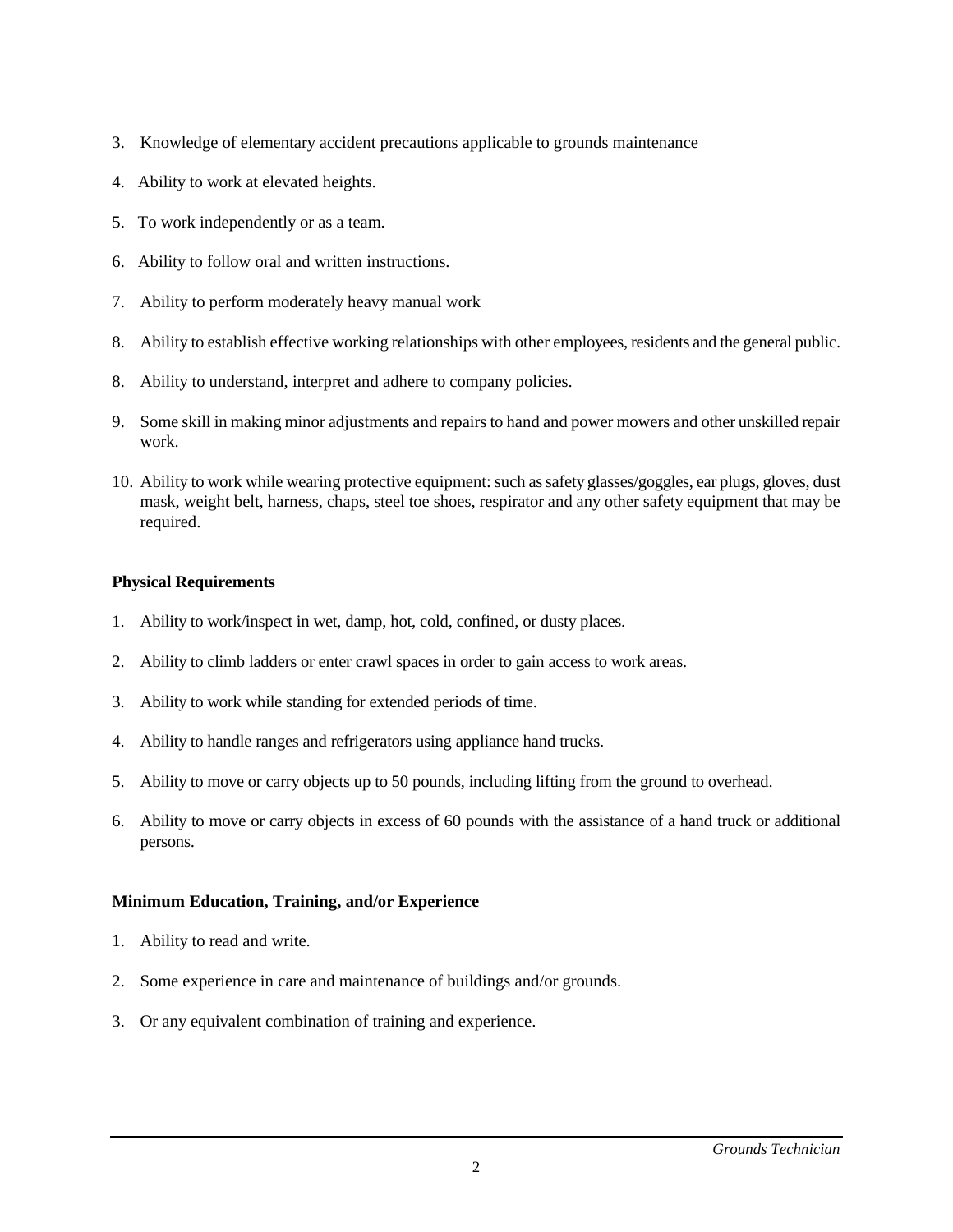- 3. Knowledge of elementary accident precautions applicable to grounds maintenance
- 4. Ability to work at elevated heights.
- 5. To work independently or as a team.
- 6. Ability to follow oral and written instructions.
- 7. Ability to perform moderately heavy manual work
- 8. Ability to establish effective working relationships with other employees, residents and the general public.
- 8. Ability to understand, interpret and adhere to company policies.
- 9. Some skill in making minor adjustments and repairs to hand and power mowers and other unskilled repair work.
- 10. Ability to work while wearing protective equipment: such as safety glasses/goggles, ear plugs, gloves, dust mask, weight belt, harness, chaps, steel toe shoes, respirator and any other safety equipment that may be required.

# **Physical Requirements**

- 1. Ability to work/inspect in wet, damp, hot, cold, confined, or dusty places.
- 2. Ability to climb ladders or enter crawl spaces in order to gain access to work areas.
- 3. Ability to work while standing for extended periods of time.
- 4. Ability to handle ranges and refrigerators using appliance hand trucks.
- 5. Ability to move or carry objects up to 50 pounds, including lifting from the ground to overhead.
- 6. Ability to move or carry objects in excess of 60 pounds with the assistance of a hand truck or additional persons.

# **Minimum Education, Training, and/or Experience**

- 1. Ability to read and write.
- 2. Some experience in care and maintenance of buildings and/or grounds.
- 3. Or any equivalent combination of training and experience.